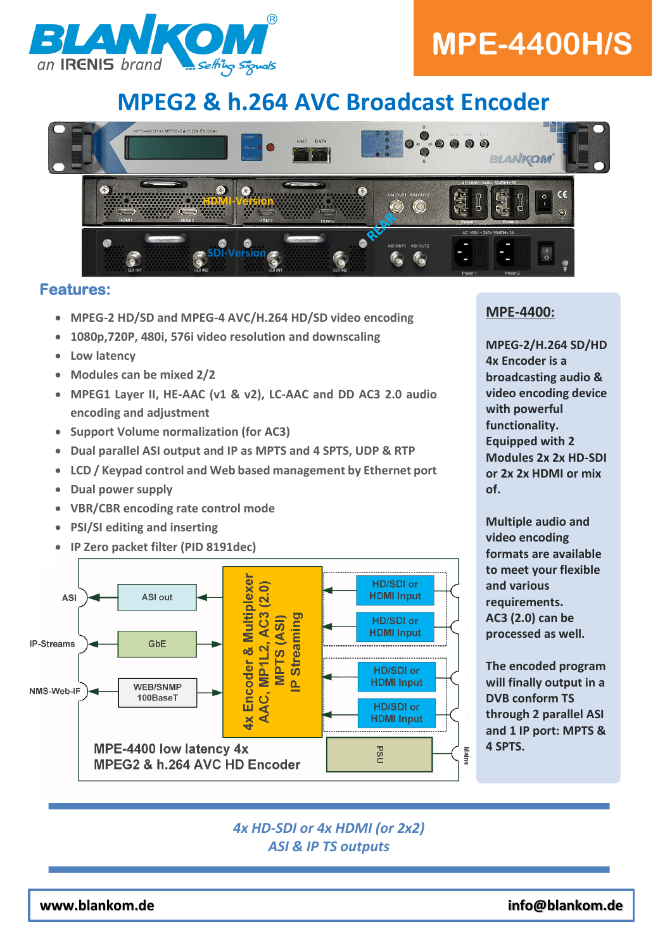

# **MPE-4400H/S**

## **MPEG2 & h.264 AVC Broadcast Encoder**



#### **Features:**

- **MPEG-2 HD/SD and MPEG-4 AVC/H.264 HD/SD video encoding**
- **1080p,720P, 480i, 576i video resolution and downscaling**
- **Low latency**
- **Modules can be mixed 2/2**
- **MPEG1 Layer II, HE-AAC (v1 & v2), LC-AAC and DD AC3 2.0 audio encoding and adjustment**
- **Support Volume normalization (for AC3)**
- **Dual parallel ASI output and IP as MPTS and 4 SPTS, UDP & RTP**
- **LCD / Keypad control and Web based management by Ethernet port**
- **Dual power supply**
- **VBR/CBR encoding rate control mode**
- **PSI/SI editing and inserting**
- **IP Zero packet filter (PID 8191dec)**



#### **MPE-4400:**

**MPEG-2/H.264 SD/HD 4x Encoder is a broadcasting audio & video encoding device with powerful functionality. Equipped with 2 Modules 2x 2x HD-SDI or 2x 2x HDMI or mix of.**

**Multiple audio and video encoding formats are available to meet your flexible and various requirements. AC3 (2.0) can be processed as well.**

**The encoded program will finally output in a DVB conform TS through 2 parallel ASI and 1 IP port: MPTS & 4 SPTS.** 

#### *4x HD-SDI or 4x HDMI (or 2x2) ASI & IP TS outputs*

**www.blankom.de info@blankom.de**